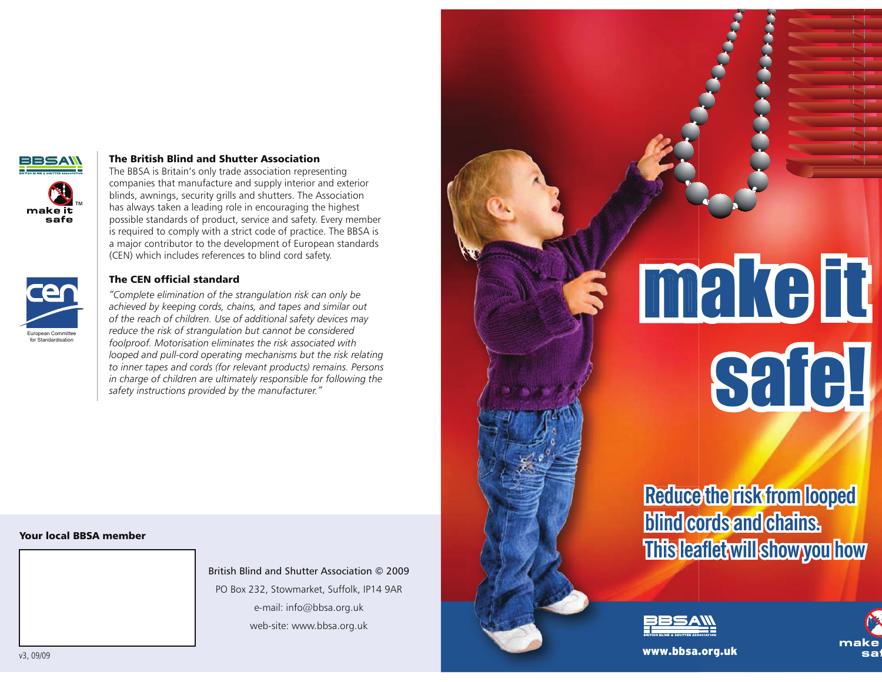

European Committee<br>for Standardisation

### The British Blind and Shutter Association

 The BBSA is Britain's only trade association representing companies that manufacture and supply interior and exterior blinds, awnings, security grills and shutters. The Association has always taken a leading role in encouraging the highest possible standards of product, service and safety. Every member is required to comply with a strict code of practice. The BBSA is a major contributor to the development of European standards (CEN) which includes references to blind cord safety.

### The CEN official standard

 *"Complete elimination of the strangulation risk can only be achieved by keeping cords, chains, and tapes and similar out of the reach of children. Use of additional safety devices may reduce the risk of strangulation but cannot be considered foolproof. Motorisation eliminates the risk associated with* looped and pull-cord operating mechanisms but the risk relating *to inner tapes and cords (for relevant products) remains. Persons in charge of children are ultimately responsible for following the safety instructions provided by the manufacturer."*

## Your local BBSA member

British Blind and Shutter Association © 2009PO Box 232, Stowmarket, Suffolk, IP14 9ARe-mail: info@bbsa.org.ukweb-site: www.bbsa.org.uk

# make itsafe!

# **Reduce the risk from loopedceReducblind cords and chains. co blindThis leaflet will show you how lea l**